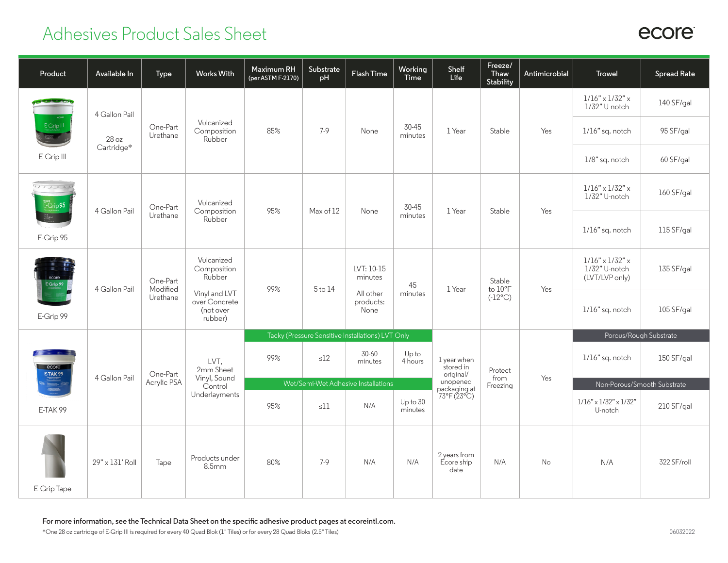## Adhesives Product Sales Sheet

| Product                                                                                                                                                                                                                                                          | Available In                         | Type                             | <b>Works With</b>                                                                             | Maximum RH<br>(per ASTM F-2170)     | Substrate<br>pH | Flash Time                                              | Working<br>Time             | Shelf<br>Life                         | Freeze/<br>Thaw<br>Stability          | Antimicrobial                                | <b>Trowel</b>                                                  | <b>Spread Rate</b>     |
|------------------------------------------------------------------------------------------------------------------------------------------------------------------------------------------------------------------------------------------------------------------|--------------------------------------|----------------------------------|-----------------------------------------------------------------------------------------------|-------------------------------------|-----------------|---------------------------------------------------------|-----------------------------|---------------------------------------|---------------------------------------|----------------------------------------------|----------------------------------------------------------------|------------------------|
| E-Grip III<br>E-Grip III                                                                                                                                                                                                                                         | 4 Gallon Pail<br>28 oz<br>Cartridge* | One-Part<br>Urethane             | Vulcanized<br>Composition<br>Rubber                                                           | 85%                                 | $7-9$           | None                                                    | 30-45<br>minutes            | 1 Year                                | Stable                                | Yes                                          | $1/16"\times1/32"\times$<br>1/32" U-notch                      | 140 SF/gal             |
|                                                                                                                                                                                                                                                                  |                                      |                                  |                                                                                               |                                     |                 |                                                         |                             |                                       |                                       |                                              | 1/16" sq. notch                                                | 95 SF/gal              |
|                                                                                                                                                                                                                                                                  |                                      |                                  |                                                                                               |                                     |                 |                                                         |                             |                                       |                                       |                                              | 1/8" sq. notch                                                 | 60 SF/gal              |
| mari<br>E-Grip 95<br>E-Grip 95                                                                                                                                                                                                                                   | 4 Gallon Pail                        | One-Part<br>Urethane             | Vulcanized<br>Composition<br>Rubber                                                           | 95%                                 | Max of 12       | None                                                    | 30-45<br>minutes            | 1 Year                                | Stable                                | Yes                                          | $1/16" \times 1/32" \times$<br>1/32" U-notch                   | 160 SF/gal             |
|                                                                                                                                                                                                                                                                  |                                      |                                  |                                                                                               |                                     |                 |                                                         |                             |                                       |                                       |                                              | $1/16"$ sq. notch                                              | 115 SF/gal             |
| E-Grip 99<br>E-Grip 99                                                                                                                                                                                                                                           | 4 Gallon Pail                        | One-Part<br>Modified<br>Urethane | Vulcanized<br>Composition<br>Rubber<br>Vinyl and LVT<br>over Concrete<br>(not over<br>rubber) | 99%                                 | 5 to 14         | LVT: 10-15<br>minutes<br>All other<br>products:<br>None | 45<br>minutes               | 1 Year                                | Stable<br>to 10°F<br>$(-12^{\circ}C)$ | Yes                                          | $1/16" \times 1/32" \times$<br>1/32" U-notch<br>(LVT/LVP only) | 135 SF/gal             |
|                                                                                                                                                                                                                                                                  |                                      |                                  |                                                                                               |                                     |                 |                                                         |                             |                                       |                                       |                                              | $1/16"$ sq. notch                                              | 105 SF/gal             |
|                                                                                                                                                                                                                                                                  |                                      |                                  |                                                                                               |                                     |                 | Tacky (Pressure Sensitive Installations) LVT Only       |                             |                                       |                                       |                                              |                                                                | Porous/Rough Substrate |
| <b>The Common Street, Square, Square, Square, Square, Square, Square, Square, Square, Square, Square, Square, Square, Square, Square, Square, Square, Square, Square, Square, Square, Square, Square, Square, Square, Square, Sq</b><br>ecore<br><b>E-TAK 99</b> | One-Part<br>4 Gallon Pail            | Acrylic PSA                      | LVT.<br>2mm Sheet<br>Vinyl, Sound<br>Control                                                  | 99%                                 | $\leq$ 12       | 30-60<br>minutes                                        | Upto<br>4 hours             | 1 year when<br>stored in<br>original/ | Protect<br>from                       | Yes                                          | 1/16" sq. notch                                                | 150 SF/gal             |
|                                                                                                                                                                                                                                                                  |                                      |                                  |                                                                                               | Wet/Semi-Wet Adhesive Installations |                 |                                                         | unopened                    | Freezing                              |                                       | Non-Porous/Smooth Substrate                  |                                                                |                        |
| E-TAK99                                                                                                                                                                                                                                                          |                                      | Underlayments                    | 95%                                                                                           | $\leq$ ll                           | N/A             | Up to 30<br>minutes                                     | packaging at<br>73°F (23°C) |                                       |                                       | $1/16" \times 1/32" \times 1/32"$<br>U-notch | 210 SF/gal                                                     |                        |
| E-Grip Tape                                                                                                                                                                                                                                                      | 29" x 131' Roll                      | Tape                             | Products under<br>8.5 <sub>mm</sub>                                                           | 80%                                 | $7-9$           | N/A                                                     | N/A                         | 2 years from<br>Ecore ship<br>date    | N/A                                   | No                                           | N/A                                                            | 322 SF/roll            |

**For more information, see the Technical Data Sheet on the specific adhesive product pages at ecoreintl.com.**

## ecore